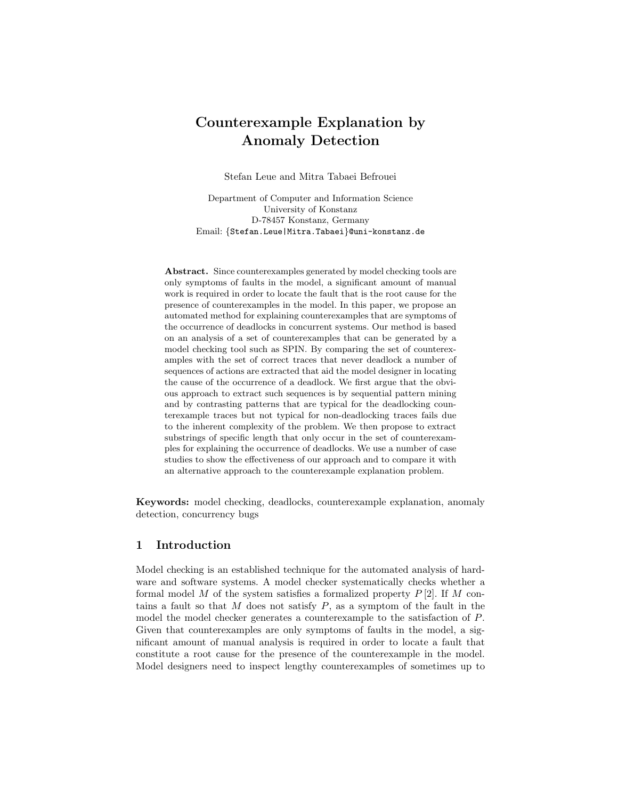# Counterexample Explanation by Anomaly Detection

Stefan Leue and Mitra Tabaei Befrouei

Department of Computer and Information Science University of Konstanz D-78457 Konstanz, Germany Email: {Stefan.Leue|Mitra.Tabaei}@uni-konstanz.de

Abstract. Since counterexamples generated by model checking tools are only symptoms of faults in the model, a significant amount of manual work is required in order to locate the fault that is the root cause for the presence of counterexamples in the model. In this paper, we propose an automated method for explaining counterexamples that are symptoms of the occurrence of deadlocks in concurrent systems. Our method is based on an analysis of a set of counterexamples that can be generated by a model checking tool such as SPIN. By comparing the set of counterexamples with the set of correct traces that never deadlock a number of sequences of actions are extracted that aid the model designer in locating the cause of the occurrence of a deadlock. We first argue that the obvious approach to extract such sequences is by sequential pattern mining and by contrasting patterns that are typical for the deadlocking counterexample traces but not typical for non-deadlocking traces fails due to the inherent complexity of the problem. We then propose to extract substrings of specific length that only occur in the set of counterexamples for explaining the occurrence of deadlocks. We use a number of case studies to show the effectiveness of our approach and to compare it with an alternative approach to the counterexample explanation problem.

Keywords: model checking, deadlocks, counterexample explanation, anomaly detection, concurrency bugs

# 1 Introduction

Model checking is an established technique for the automated analysis of hardware and software systems. A model checker systematically checks whether a formal model M of the system satisfies a formalized property  $P[2]$ . If M contains a fault so that  $M$  does not satisfy  $P$ , as a symptom of the fault in the model the model checker generates a counterexample to the satisfaction of P. Given that counterexamples are only symptoms of faults in the model, a significant amount of manual analysis is required in order to locate a fault that constitute a root cause for the presence of the counterexample in the model. Model designers need to inspect lengthy counterexamples of sometimes up to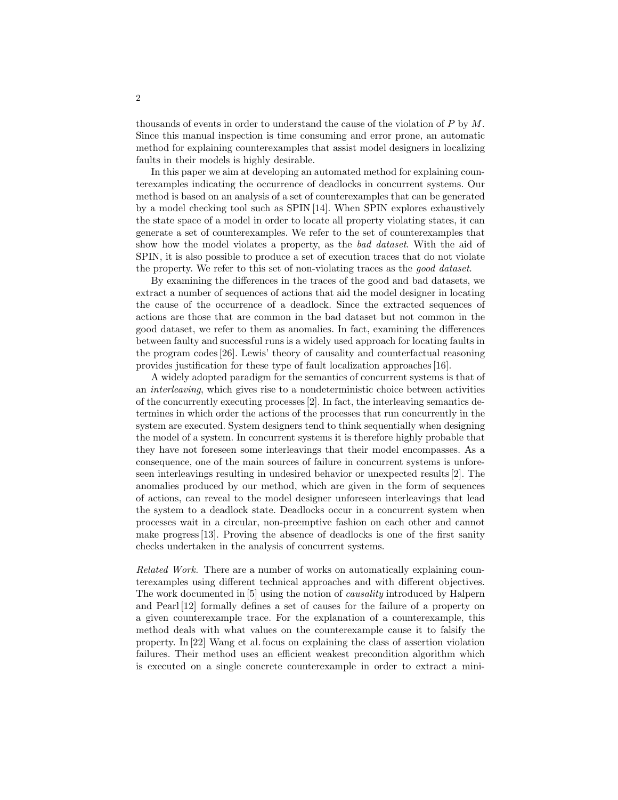thousands of events in order to understand the cause of the violation of  $P$  by  $M$ . Since this manual inspection is time consuming and error prone, an automatic method for explaining counterexamples that assist model designers in localizing faults in their models is highly desirable.

In this paper we aim at developing an automated method for explaining counterexamples indicating the occurrence of deadlocks in concurrent systems. Our method is based on an analysis of a set of counterexamples that can be generated by a model checking tool such as SPIN [14]. When SPIN explores exhaustively the state space of a model in order to locate all property violating states, it can generate a set of counterexamples. We refer to the set of counterexamples that show how the model violates a property, as the bad dataset. With the aid of SPIN, it is also possible to produce a set of execution traces that do not violate the property. We refer to this set of non-violating traces as the good dataset.

By examining the differences in the traces of the good and bad datasets, we extract a number of sequences of actions that aid the model designer in locating the cause of the occurrence of a deadlock. Since the extracted sequences of actions are those that are common in the bad dataset but not common in the good dataset, we refer to them as anomalies. In fact, examining the differences between faulty and successful runs is a widely used approach for locating faults in the program codes [26]. Lewis' theory of causality and counterfactual reasoning provides justification for these type of fault localization approaches [16].

A widely adopted paradigm for the semantics of concurrent systems is that of an interleaving, which gives rise to a nondeterministic choice between activities of the concurrently executing processes [2]. In fact, the interleaving semantics determines in which order the actions of the processes that run concurrently in the system are executed. System designers tend to think sequentially when designing the model of a system. In concurrent systems it is therefore highly probable that they have not foreseen some interleavings that their model encompasses. As a consequence, one of the main sources of failure in concurrent systems is unforeseen interleavings resulting in undesired behavior or unexpected results [2]. The anomalies produced by our method, which are given in the form of sequences of actions, can reveal to the model designer unforeseen interleavings that lead the system to a deadlock state. Deadlocks occur in a concurrent system when processes wait in a circular, non-preemptive fashion on each other and cannot make progress [13]. Proving the absence of deadlocks is one of the first sanity checks undertaken in the analysis of concurrent systems.

Related Work. There are a number of works on automatically explaining counterexamples using different technical approaches and with different objectives. The work documented in [5] using the notion of causality introduced by Halpern and Pearl [12] formally defines a set of causes for the failure of a property on a given counterexample trace. For the explanation of a counterexample, this method deals with what values on the counterexample cause it to falsify the property. In [22] Wang et al. focus on explaining the class of assertion violation failures. Their method uses an efficient weakest precondition algorithm which is executed on a single concrete counterexample in order to extract a mini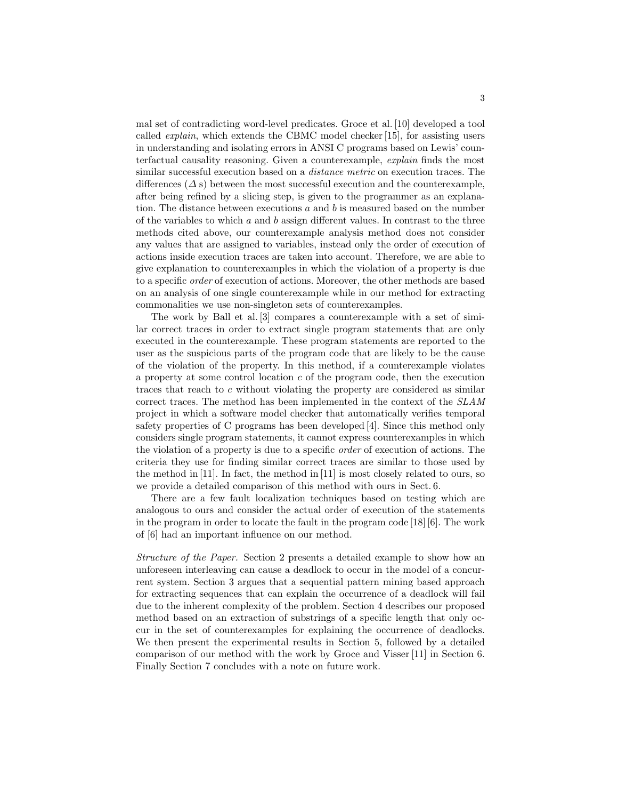mal set of contradicting word-level predicates. Groce et al. [10] developed a tool called explain, which extends the CBMC model checker [15], for assisting users in understanding and isolating errors in ANSI C programs based on Lewis' counterfactual causality reasoning. Given a counterexample, explain finds the most similar successful execution based on a *distance metric* on execution traces. The differences  $(\Delta s)$  between the most successful execution and the counterexample, after being refined by a slicing step, is given to the programmer as an explanation. The distance between executions  $a$  and  $b$  is measured based on the number of the variables to which  $a$  and  $b$  assign different values. In contrast to the three methods cited above, our counterexample analysis method does not consider any values that are assigned to variables, instead only the order of execution of actions inside execution traces are taken into account. Therefore, we are able to give explanation to counterexamples in which the violation of a property is due to a specific order of execution of actions. Moreover, the other methods are based on an analysis of one single counterexample while in our method for extracting commonalities we use non-singleton sets of counterexamples.

The work by Ball et al. [3] compares a counterexample with a set of similar correct traces in order to extract single program statements that are only executed in the counterexample. These program statements are reported to the user as the suspicious parts of the program code that are likely to be the cause of the violation of the property. In this method, if a counterexample violates a property at some control location  $c$  of the program code, then the execution traces that reach to c without violating the property are considered as similar correct traces. The method has been implemented in the context of the SLAM project in which a software model checker that automatically verifies temporal safety properties of C programs has been developed [4]. Since this method only considers single program statements, it cannot express counterexamples in which the violation of a property is due to a specific order of execution of actions. The criteria they use for finding similar correct traces are similar to those used by the method in [11]. In fact, the method in [11] is most closely related to ours, so we provide a detailed comparison of this method with ours in Sect. 6.

There are a few fault localization techniques based on testing which are analogous to ours and consider the actual order of execution of the statements in the program in order to locate the fault in the program code [18] [6]. The work of [6] had an important influence on our method.

Structure of the Paper. Section 2 presents a detailed example to show how an unforeseen interleaving can cause a deadlock to occur in the model of a concurrent system. Section 3 argues that a sequential pattern mining based approach for extracting sequences that can explain the occurrence of a deadlock will fail due to the inherent complexity of the problem. Section 4 describes our proposed method based on an extraction of substrings of a specific length that only occur in the set of counterexamples for explaining the occurrence of deadlocks. We then present the experimental results in Section 5, followed by a detailed comparison of our method with the work by Groce and Visser [11] in Section 6. Finally Section 7 concludes with a note on future work.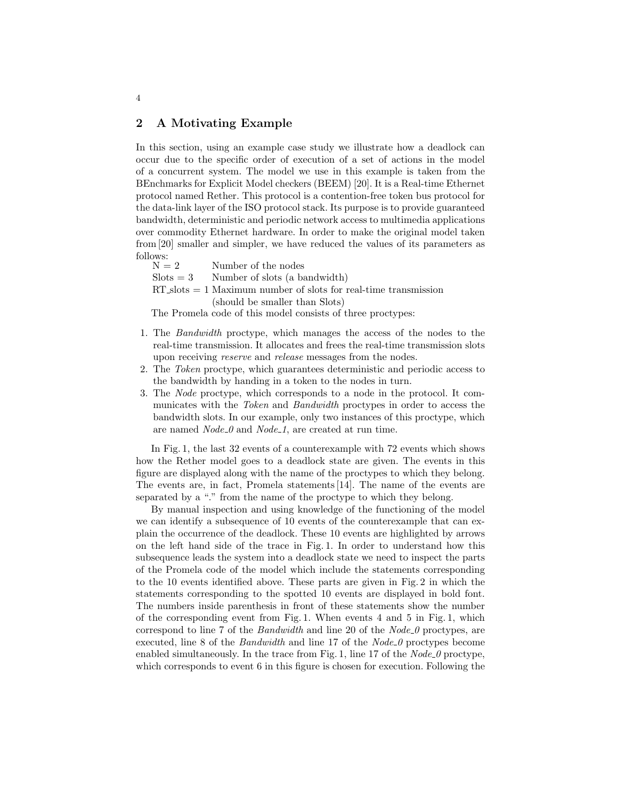## 2 A Motivating Example

In this section, using an example case study we illustrate how a deadlock can occur due to the specific order of execution of a set of actions in the model of a concurrent system. The model we use in this example is taken from the BEnchmarks for Explicit Model checkers (BEEM) [20]. It is a Real-time Ethernet protocol named Rether. This protocol is a contention-free token bus protocol for the data-link layer of the ISO protocol stack. Its purpose is to provide guaranteed bandwidth, deterministic and periodic network access to multimedia applications over commodity Ethernet hardware. In order to make the original model taken from [20] smaller and simpler, we have reduced the values of its parameters as follows:<br> $N = 2$ 

Number of the nodes  $S$ lots = 3 Number of slots (a bandwidth)  $RT_s$ slots  $= 1$  Maximum number of slots for real-time transmission (should be smaller than Slots)

The Promela code of this model consists of three proctypes:

- 1. The Bandwidth proctype, which manages the access of the nodes to the real-time transmission. It allocates and frees the real-time transmission slots upon receiving reserve and release messages from the nodes.
- 2. The Token proctype, which guarantees deterministic and periodic access to the bandwidth by handing in a token to the nodes in turn.
- 3. The Node proctype, which corresponds to a node in the protocol. It communicates with the Token and Bandwidth proctypes in order to access the bandwidth slots. In our example, only two instances of this proctype, which are named  $Node_0$  and  $Node_1$ , are created at run time.

In Fig. 1, the last 32 events of a counterexample with 72 events which shows how the Rether model goes to a deadlock state are given. The events in this figure are displayed along with the name of the proctypes to which they belong. The events are, in fact, Promela statements [14]. The name of the events are separated by a "." from the name of the proctype to which they belong.

By manual inspection and using knowledge of the functioning of the model we can identify a subsequence of 10 events of the counterexample that can explain the occurrence of the deadlock. These 10 events are highlighted by arrows on the left hand side of the trace in Fig. 1. In order to understand how this subsequence leads the system into a deadlock state we need to inspect the parts of the Promela code of the model which include the statements corresponding to the 10 events identified above. These parts are given in Fig. 2 in which the statements corresponding to the spotted 10 events are displayed in bold font. The numbers inside parenthesis in front of these statements show the number of the corresponding event from Fig. 1. When events 4 and 5 in Fig. 1, which correspond to line 7 of the *Bandwidth* and line 20 of the  $Node_0$  proctypes, are executed, line 8 of the *Bandwidth* and line 17 of the  $Node_0$  proctypes become enabled simultaneously. In the trace from Fig. 1, line 17 of the  $Node_0$  proctype, which corresponds to event 6 in this figure is chosen for execution. Following the

4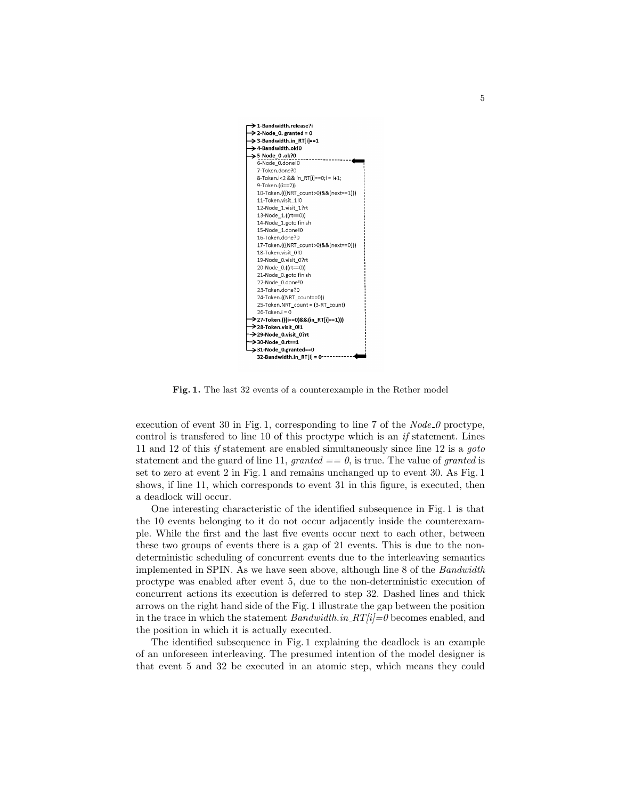

Fig. 1. The last 32 events of a counterexample in the Rether model

execution of event 30 in Fig. 1, corresponding to line 7 of the  $Node_0$  proctype, control is transferred to line 10 of this proctype which is an  $if$  statement. Lines 11 and 12 of this if statement are enabled simultaneously since line 12 is a goto statement and the guard of line 11, granted  $== 0$ , is true. The value of granted is set to zero at event 2 in Fig. 1 and remains unchanged up to event 30. As Fig. 1 shows, if line 11, which corresponds to event 31 in this figure, is executed, then a deadlock will occur.

One interesting characteristic of the identified subsequence in Fig. 1 is that the 10 events belonging to it do not occur adjacently inside the counterexample. While the first and the last five events occur next to each other, between these two groups of events there is a gap of 21 events. This is due to the nondeterministic scheduling of concurrent events due to the interleaving semantics implemented in SPIN. As we have seen above, although line 8 of the Bandwidth proctype was enabled after event 5, due to the non-deterministic execution of concurrent actions its execution is deferred to step 32. Dashed lines and thick arrows on the right hand side of the Fig. 1 illustrate the gap between the position in the trace in which the statement  $Bandwidth.in\_RT[i] = 0$  becomes enabled, and the position in which it is actually executed.

The identified subsequence in Fig. 1 explaining the deadlock is an example of an unforeseen interleaving. The presumed intention of the model designer is that event 5 and 32 be executed in an atomic step, which means they could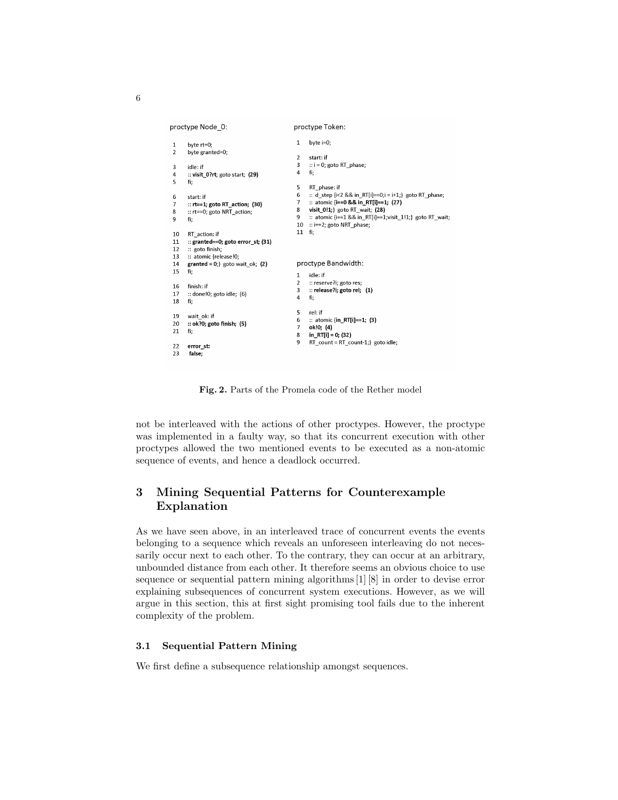```
proctype Node_0:
                                                      proctype Token:
                                                        1 byte i=0:
       byte rt=0;
1
\overline{a}byte granted=0;
                                                        \overline{2}start: if
                                                              :: i = 0; goto RT_phase;
                                                        \overline{\mathbf{3}}\overline{3}idle: if
                                                        \overline{4}fi:
       :: visit_0?rt; goto start; (29)
4
5
       fi;
                                                        5
                                                             RT_phase: if
                                                            :: d_step {i<2 && in_RT[i]==0;i = i+1;} goto RT_phase;
                                                        6
\, 6 \,start: if
                                                             :: atomic {i==0 && in_RT[i]==1; (27)
       :: rt==1; goto RT_action; (30)
                                                        \overline{7}\overline{7}\mathbf{R}visit_0!1;} goto RT_wait; (28)
       :: rt==0; goto NRT_action;
8
                                                            :: atomic {i==1 && in_RT[i]==1;visit_1!1;} goto RT_wait;
9
                                                        9
       fi;
                                                        10 :: i=2; goto NRT phase;
                                                        11 fi:
10\,RT_action: if
11:: granted==0; goto error_st; (31)
      :: goto finish;
12
      :: atomic {release!0;
13
14
      granted = 0;} goto wait_ok; (2)
                                                        proctype Bandwidth:
{\bf 15}fi;
                                                        \mathbf{1}idle: if
                                                        \overline{2}:: reserve?i; goto res;
16
       finish: if
                                                        3
                                                              :: release?i; goto rel; (1)
       :: done!0; goto idle; (6)
17
                                                        \overline{4}fi;
18\,fi;
                                                        \overline{5}rel: if
19
       wait ok: if
                                                             :: atomic {in_RT[i]==1; (3)
                                                        6
      :: ok?0; goto finish; (5)
20
                                                        \overline{7}ok!0; (4)
21fi;
                                                             in_RTT[i] = 0; (32)8
                                                             RT count = RT count-1;} goto idle;
                                                        9
\bf{22}error_st:
23
       false;
```
Fig. 2. Parts of the Promela code of the Rether model

not be interleaved with the actions of other proctypes. However, the proctype was implemented in a faulty way, so that its concurrent execution with other proctypes allowed the two mentioned events to be executed as a non-atomic sequence of events, and hence a deadlock occurred.

# 3 Mining Sequential Patterns for Counterexample Explanation

As we have seen above, in an interleaved trace of concurrent events the events belonging to a sequence which reveals an unforeseen interleaving do not necessarily occur next to each other. To the contrary, they can occur at an arbitrary, unbounded distance from each other. It therefore seems an obvious choice to use sequence or sequential pattern mining algorithms [1] [8] in order to devise error explaining subsequences of concurrent system executions. However, as we will argue in this section, this at first sight promising tool fails due to the inherent complexity of the problem.

#### 3.1 Sequential Pattern Mining

We first define a subsequence relationship amongst sequences.

6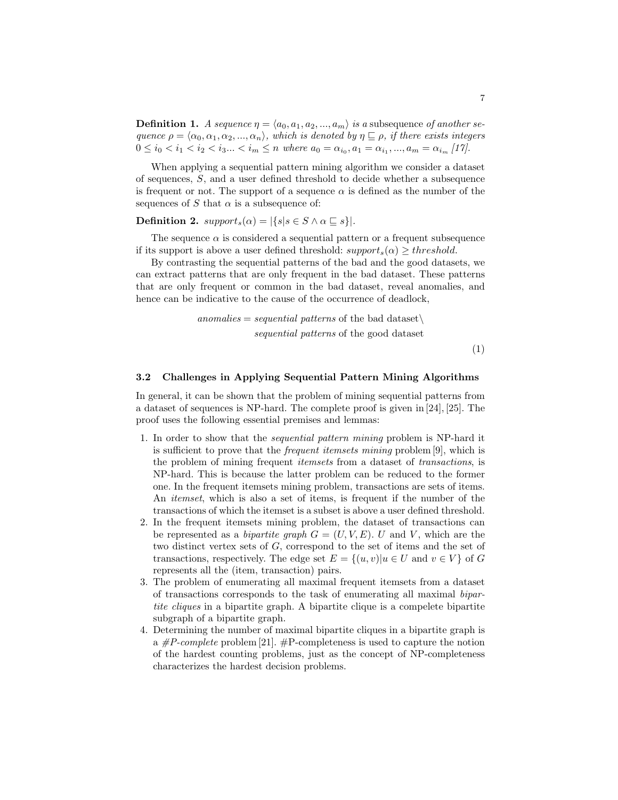**Definition 1.** A sequence  $\eta = \langle a_0, a_1, a_2, ..., a_m \rangle$  is a subsequence of another sequence  $\rho = \langle \alpha_0, \alpha_1, \alpha_2, ..., \alpha_n \rangle$ , which is denoted by  $\eta \subseteq \rho$ , if there exists integers  $0 \leq i_0 < i_1 < i_2 < i_3 ... < i_m \leq n$  where  $a_0 = \alpha_{i_0}, a_1 = \alpha_{i_1}, ..., a_m = \alpha_{i_m}$  [17].

When applying a sequential pattern mining algorithm we consider a dataset of sequences, S, and a user defined threshold to decide whether a subsequence is frequent or not. The support of a sequence  $\alpha$  is defined as the number of the sequences of S that  $\alpha$  is a subsequence of:

**Definition 2.**  $support_s(\alpha) = |\{s | s \in S \land \alpha \sqsubseteq s\}|.$ 

The sequence  $\alpha$  is considered a sequential pattern or a frequent subsequence if its support is above a user defined threshold:  $support_s(\alpha) \geq threshold$ .

By contrasting the sequential patterns of the bad and the good datasets, we can extract patterns that are only frequent in the bad dataset. These patterns that are only frequent or common in the bad dataset, reveal anomalies, and hence can be indicative to the cause of the occurrence of deadlock,

> anomalies = sequential patterns of the bad dataset sequential patterns of the good dataset

> > (1)

#### 3.2 Challenges in Applying Sequential Pattern Mining Algorithms

In general, it can be shown that the problem of mining sequential patterns from a dataset of sequences is NP-hard. The complete proof is given in [24], [25]. The proof uses the following essential premises and lemmas:

- 1. In order to show that the sequential pattern mining problem is NP-hard it is sufficient to prove that the frequent itemsets mining problem [9], which is the problem of mining frequent itemsets from a dataset of transactions, is NP-hard. This is because the latter problem can be reduced to the former one. In the frequent itemsets mining problem, transactions are sets of items. An itemset, which is also a set of items, is frequent if the number of the transactions of which the itemset is a subset is above a user defined threshold.
- 2. In the frequent itemsets mining problem, the dataset of transactions can be represented as a *bipartite graph*  $G = (U, V, E)$ . U and V, which are the two distinct vertex sets of G, correspond to the set of items and the set of transactions, respectively. The edge set  $E = \{(u, v)|u \in U \text{ and } v \in V\}$  of G represents all the (item, transaction) pairs.
- 3. The problem of enumerating all maximal frequent itemsets from a dataset of transactions corresponds to the task of enumerating all maximal bipartite cliques in a bipartite graph. A bipartite clique is a compelete bipartite subgraph of a bipartite graph.
- 4. Determining the number of maximal bipartite cliques in a bipartite graph is a  $\#P\text{-complete problem [21]. }\#P\text{-completeness is used to capture the notion}$ of the hardest counting problems, just as the concept of NP-completeness characterizes the hardest decision problems.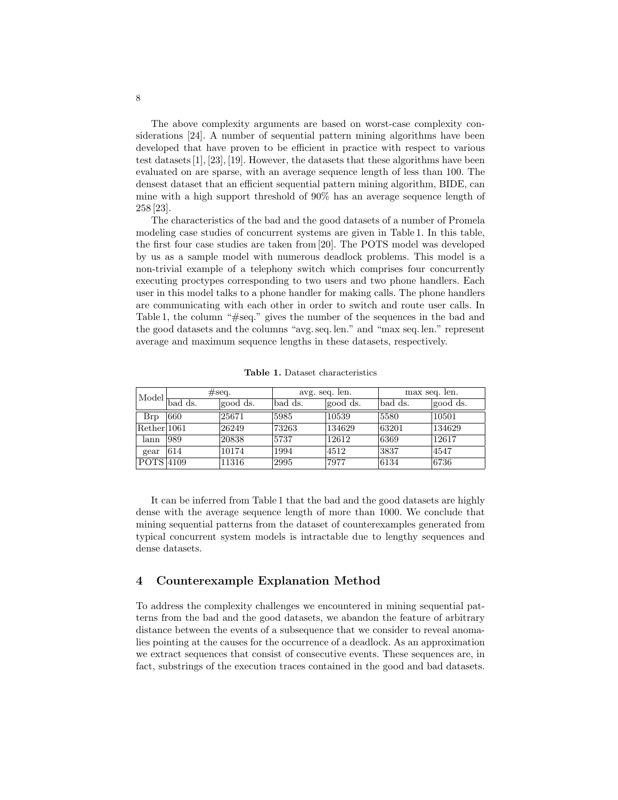The above complexity arguments are based on worst-case complexity considerations [24]. A number of sequential pattern mining algorithms have been developed that have proven to be efficient in practice with respect to various test datasets [1], [23], [19]. However, the datasets that these algorithms have been evaluated on are sparse, with an average sequence length of less than 100. The densest dataset that an efficient sequential pattern mining algorithm, BIDE, can mine with a high support threshold of 90% has an average sequence length of 258 [23].

The characteristics of the bad and the good datasets of a number of Promela modeling case studies of concurrent systems are given in Table 1. In this table, the first four case studies are taken from [20]. The POTS model was developed by us as a sample model with numerous deadlock problems. This model is a non-trivial example of a telephony switch which comprises four concurrently executing proctypes corresponding to two users and two phone handlers. Each user in this model talks to a phone handler for making calls. The phone handlers are communicating with each other in order to switch and route user calls. In Table 1, the column "#seq." gives the number of the sequences in the bad and the good datasets and the columns "avg. seq. len." and "max seq. len." represent average and maximum sequence lengths in these datasets, respectively.

| Model       | #seq.   |          | avg. seq. len. |          | max seq. len. |          |
|-------------|---------|----------|----------------|----------|---------------|----------|
|             | bad ds. | good ds. | bad ds.        | good ds. | bad ds.       | good ds. |
| <b>Brp</b>  | 660     | 25671    | 5985           | 10539    | 5580          | 10501    |
| Rether 1061 |         | 26249    | 73263          | 134629   | 63201         | 134629   |
| lann        | 989     | 20838    | 5737           | 12612    | 6369          | 12617    |
| gear        | 614     | 10174    | 1994           | 4512     | 3837          | 4547     |
| POTS 4109   |         | 11316    | 2995           | 7977     | 6134          | 6736     |

Table 1. Dataset characteristics

It can be inferred from Table 1 that the bad and the good datasets are highly dense with the average sequence length of more than 1000. We conclude that mining sequential patterns from the dataset of counterexamples generated from typical concurrent system models is intractable due to lengthy sequences and dense datasets.

# 4 Counterexample Explanation Method

To address the complexity challenges we encountered in mining sequential patterns from the bad and the good datasets, we abandon the feature of arbitrary distance between the events of a subsequence that we consider to reveal anomalies pointing at the causes for the occurrence of a deadlock. As an approximation we extract sequences that consist of consecutive events. These sequences are, in fact, substrings of the execution traces contained in the good and bad datasets.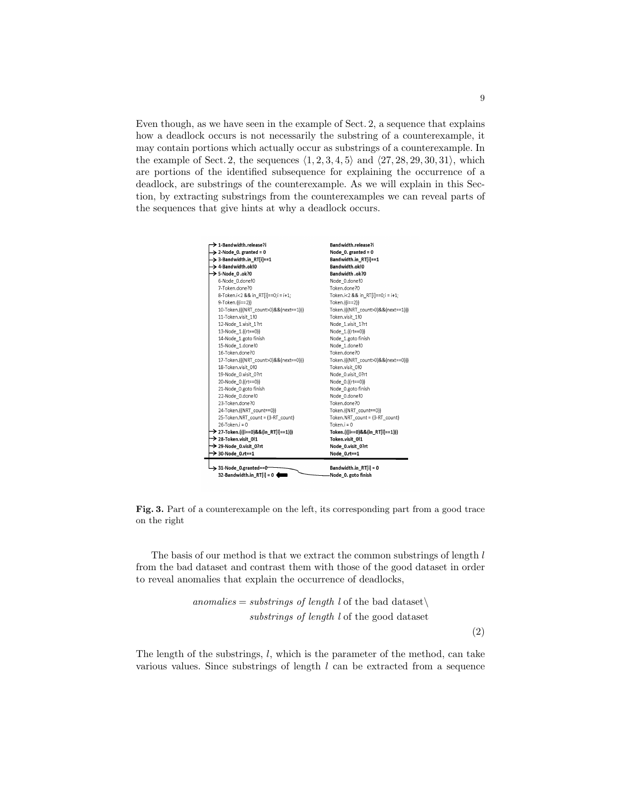Even though, as we have seen in the example of Sect. 2, a sequence that explains how a deadlock occurs is not necessarily the substring of a counterexample, it may contain portions which actually occur as substrings of a counterexample. In the example of Sect. 2, the sequences  $\langle 1, 2, 3, 4, 5 \rangle$  and  $\langle 27, 28, 29, 30, 31 \rangle$ , which are portions of the identified subsequence for explaining the occurrence of a deadlock, are substrings of the counterexample. As we will explain in this Section, by extracting substrings from the counterexamples we can reveal parts of the sequences that give hints at why a deadlock occurs.



Fig. 3. Part of a counterexample on the left, its corresponding part from a good trace on the right

The basis of our method is that we extract the common substrings of length  $l$ from the bad dataset and contrast them with those of the good dataset in order to reveal anomalies that explain the occurrence of deadlocks,

$$
anomalies = substrings of length l of the bad dataset \langle\n \rangle
$$
\n
$$
substrings of length l of the good dataset
$$

(2)

The length of the substrings, l, which is the parameter of the method, can take various values. Since substrings of length  $l$  can be extracted from a sequence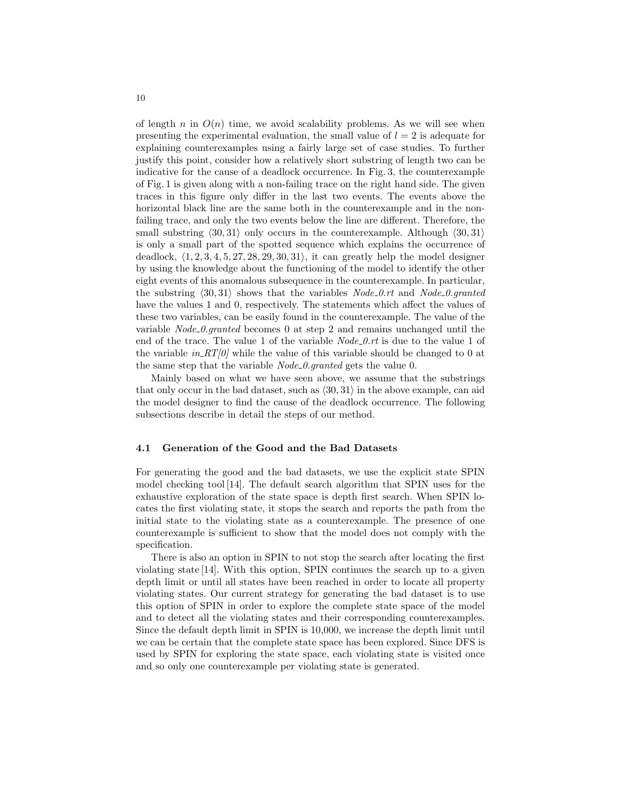of length n in  $O(n)$  time, we avoid scalability problems. As we will see when presenting the experimental evaluation, the small value of  $l = 2$  is adequate for explaining counterexamples using a fairly large set of case studies. To further justify this point, consider how a relatively short substring of length two can be indicative for the cause of a deadlock occurrence. In Fig. 3, the counterexample of Fig. 1 is given along with a non-failing trace on the right hand side. The given traces in this figure only differ in the last two events. The events above the horizontal black line are the same both in the counterexample and in the nonfailing trace, and only the two events below the line are different. Therefore, the small substring  $\langle 30, 31 \rangle$  only occurs in the counterexample. Although  $\langle 30, 31 \rangle$ is only a small part of the spotted sequence which explains the occurrence of deadlock,  $\langle 1, 2, 3, 4, 5, 27, 28, 29, 30, 31 \rangle$ , it can greatly help the model designer by using the knowledge about the functioning of the model to identify the other eight events of this anomalous subsequence in the counterexample. In particular, the substring  $\langle 30, 31 \rangle$  shows that the variables  $Node_0$ . Then  $Node_0$  granted have the values 1 and 0, respectively. The statements which affect the values of these two variables, can be easily found in the counterexample. The value of the variable  $Node_0$  granted becomes 0 at step 2 and remains unchanged until the end of the trace. The value 1 of the variable  $Node_0.rt$  is due to the value 1 of the variable  $in \, RT[0]$  while the value of this variable should be changed to 0 at the same step that the variable *Node\_0.granted* gets the value 0.

Mainly based on what we have seen above, we assume that the substrings that only occur in the bad dataset, such as  $\langle 30, 31 \rangle$  in the above example, can aid the model designer to find the cause of the deadlock occurrence. The following subsections describe in detail the steps of our method.

#### 4.1 Generation of the Good and the Bad Datasets

For generating the good and the bad datasets, we use the explicit state SPIN model checking tool [14]. The default search algorithm that SPIN uses for the exhaustive exploration of the state space is depth first search. When SPIN locates the first violating state, it stops the search and reports the path from the initial state to the violating state as a counterexample. The presence of one counterexample is sufficient to show that the model does not comply with the specification.

There is also an option in SPIN to not stop the search after locating the first violating state [14]. With this option, SPIN continues the search up to a given depth limit or until all states have been reached in order to locate all property violating states. Our current strategy for generating the bad dataset is to use this option of SPIN in order to explore the complete state space of the model and to detect all the violating states and their corresponding counterexamples. Since the default depth limit in SPIN is 10,000, we increase the depth limit until we can be certain that the complete state space has been explored. Since DFS is used by SPIN for exploring the state space, each violating state is visited once and so only one counterexample per violating state is generated.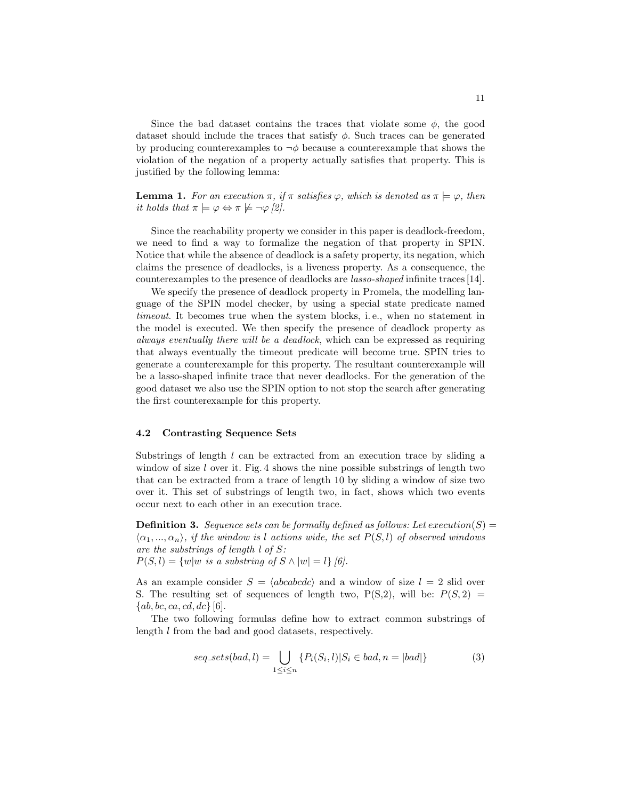Since the bad dataset contains the traces that violate some  $\phi$ , the good dataset should include the traces that satisfy  $\phi$ . Such traces can be generated by producing counterexamples to  $\neg \phi$  because a counterexample that shows the violation of the negation of a property actually satisfies that property. This is justified by the following lemma:

**Lemma 1.** For an execution  $\pi$ , if  $\pi$  satisfies  $\varphi$ , which is denoted as  $\pi \models \varphi$ , then it holds that  $\pi \models \varphi \Leftrightarrow \pi \not\models \neg \varphi \, [2].$ 

Since the reachability property we consider in this paper is deadlock-freedom, we need to find a way to formalize the negation of that property in SPIN. Notice that while the absence of deadlock is a safety property, its negation, which claims the presence of deadlocks, is a liveness property. As a consequence, the counterexamples to the presence of deadlocks are lasso-shaped infinite traces [14].

We specify the presence of deadlock property in Promela, the modelling language of the SPIN model checker, by using a special state predicate named timeout. It becomes true when the system blocks, i. e., when no statement in the model is executed. We then specify the presence of deadlock property as always eventually there will be a deadlock, which can be expressed as requiring that always eventually the timeout predicate will become true. SPIN tries to generate a counterexample for this property. The resultant counterexample will be a lasso-shaped infinite trace that never deadlocks. For the generation of the good dataset we also use the SPIN option to not stop the search after generating the first counterexample for this property.

#### 4.2 Contrasting Sequence Sets

Substrings of length l can be extracted from an execution trace by sliding a window of size  $l$  over it. Fig. 4 shows the nine possible substrings of length two that can be extracted from a trace of length 10 by sliding a window of size two over it. This set of substrings of length two, in fact, shows which two events occur next to each other in an execution trace.

**Definition 3.** Sequence sets can be formally defined as follows: Let  $execution(S)$  =  $\langle \alpha_1, ..., \alpha_n \rangle$ , if the window is l actions wide, the set  $P(S, l)$  of observed windows are the substrings of length l of S:  $P(S, l) = \{w|w \text{ is a substring of } S \wedge |w| = l\}$  [6].

As an example consider  $S = \langle abcabcdc \rangle$  and a window of size  $l = 2$  slid over S. The resulting set of sequences of length two,  $P(S, 2)$ , will be:  $P(S, 2) =$  ${ab, bc, ca, cd, dc}$  [6].

The two following formulas define how to extract common substrings of length l from the bad and good datasets, respectively.

$$
seq\_sets(bad, l) = \bigcup_{1 \le i \le n} \{ P_i(S_i, l) | S_i \in bad, n = |bad| \}
$$
 (3)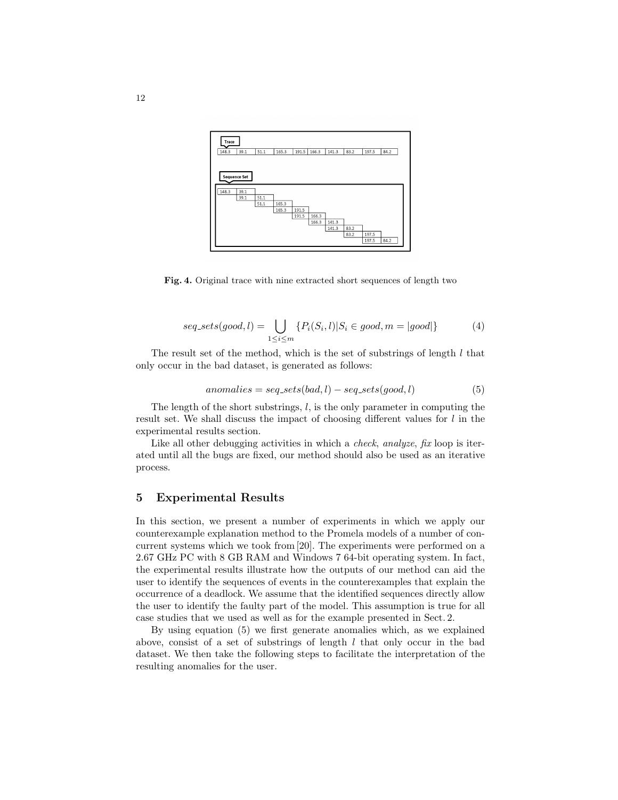

Fig. 4. Original trace with nine extracted short sequences of length two

$$
seq\_sets(good, l) = \bigcup_{1 \leq i \leq m} \{P_i(S_i, l)|S_i \in good, m = |good|\}
$$
(4)

The result set of the method, which is the set of substrings of length  $l$  that only occur in the bad dataset, is generated as follows:

$$
anomalies = seq\_sets(bad, l) - seq\_sets(good, l)
$$
\n
$$
(5)
$$

The length of the short substrings,  $l$ , is the only parameter in computing the result set. We shall discuss the impact of choosing different values for l in the experimental results section.

Like all other debugging activities in which a *check*, *analyze*, *fix* loop is iterated until all the bugs are fixed, our method should also be used as an iterative process.

# 5 Experimental Results

In this section, we present a number of experiments in which we apply our counterexample explanation method to the Promela models of a number of concurrent systems which we took from [20]. The experiments were performed on a 2.67 GHz PC with 8 GB RAM and Windows 7 64-bit operating system. In fact, the experimental results illustrate how the outputs of our method can aid the user to identify the sequences of events in the counterexamples that explain the occurrence of a deadlock. We assume that the identified sequences directly allow the user to identify the faulty part of the model. This assumption is true for all case studies that we used as well as for the example presented in Sect. 2.

By using equation (5) we first generate anomalies which, as we explained above, consist of a set of substrings of length  $l$  that only occur in the bad dataset. We then take the following steps to facilitate the interpretation of the resulting anomalies for the user.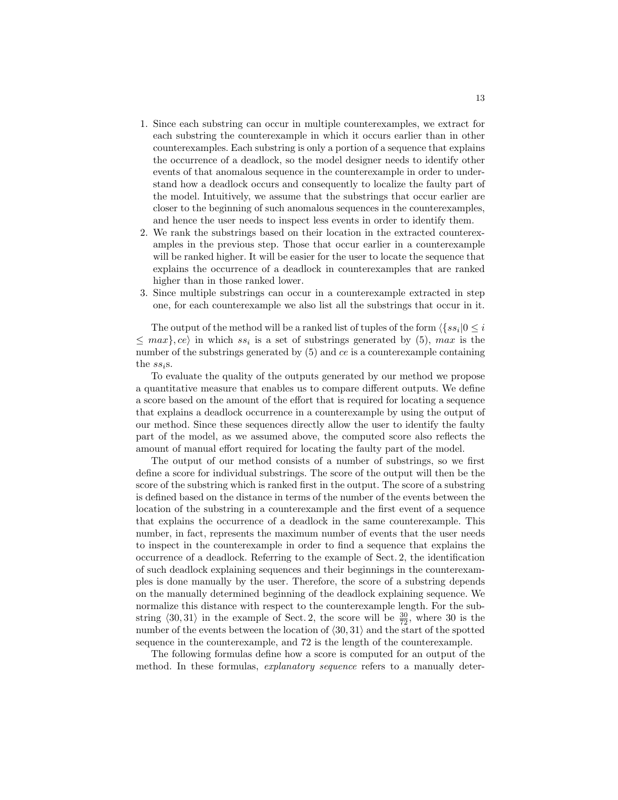- 1. Since each substring can occur in multiple counterexamples, we extract for each substring the counterexample in which it occurs earlier than in other counterexamples. Each substring is only a portion of a sequence that explains the occurrence of a deadlock, so the model designer needs to identify other events of that anomalous sequence in the counterexample in order to understand how a deadlock occurs and consequently to localize the faulty part of the model. Intuitively, we assume that the substrings that occur earlier are closer to the beginning of such anomalous sequences in the counterexamples, and hence the user needs to inspect less events in order to identify them.
- 2. We rank the substrings based on their location in the extracted counterexamples in the previous step. Those that occur earlier in a counterexample will be ranked higher. It will be easier for the user to locate the sequence that explains the occurrence of a deadlock in counterexamples that are ranked higher than in those ranked lower.
- 3. Since multiple substrings can occur in a counterexample extracted in step one, for each counterexample we also list all the substrings that occur in it.

The output of the method will be a ranked list of tuples of the form  $\langle \{ss_i | 0 \leq i$  $\leq$  max $\}$ , ce) in which ss<sub>i</sub> is a set of substrings generated by (5), max is the number of the substrings generated by (5) and ce is a counterexample containing the  $ss_i$ s.

To evaluate the quality of the outputs generated by our method we propose a quantitative measure that enables us to compare different outputs. We define a score based on the amount of the effort that is required for locating a sequence that explains a deadlock occurrence in a counterexample by using the output of our method. Since these sequences directly allow the user to identify the faulty part of the model, as we assumed above, the computed score also reflects the amount of manual effort required for locating the faulty part of the model.

The output of our method consists of a number of substrings, so we first define a score for individual substrings. The score of the output will then be the score of the substring which is ranked first in the output. The score of a substring is defined based on the distance in terms of the number of the events between the location of the substring in a counterexample and the first event of a sequence that explains the occurrence of a deadlock in the same counterexample. This number, in fact, represents the maximum number of events that the user needs to inspect in the counterexample in order to find a sequence that explains the occurrence of a deadlock. Referring to the example of Sect. 2, the identification of such deadlock explaining sequences and their beginnings in the counterexamples is done manually by the user. Therefore, the score of a substring depends on the manually determined beginning of the deadlock explaining sequence. We normalize this distance with respect to the counterexample length. For the substring  $\langle 30, 31 \rangle$  in the example of Sect. 2, the score will be  $\frac{30}{72}$ , where 30 is the number of the events between the location of  $\langle 30, 31 \rangle$  and the start of the spotted sequence in the counterexample, and 72 is the length of the counterexample.

The following formulas define how a score is computed for an output of the method. In these formulas, *explanatory sequence* refers to a manually deter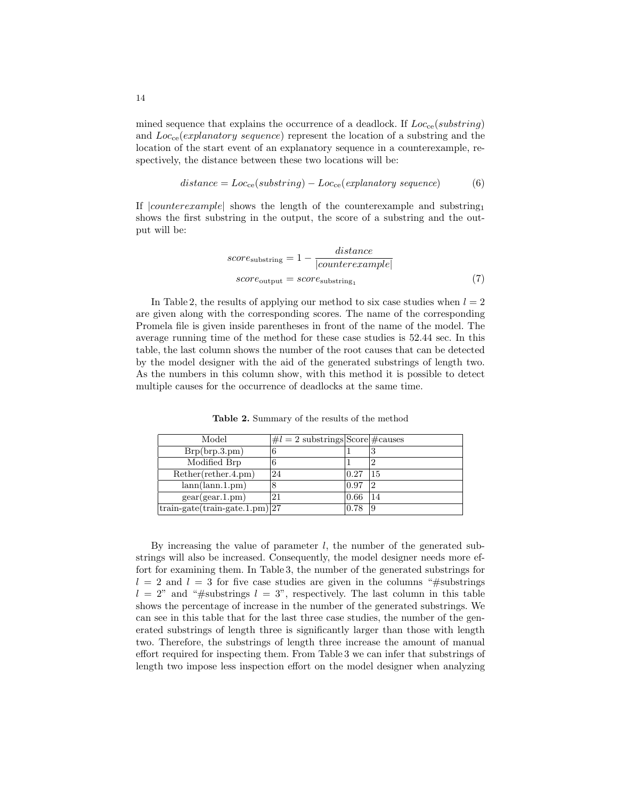mined sequence that explains the occurrence of a deadlock. If  $Loc_{ce}(substring)$ and  $Loc_{ce}(explanatory\ sequence)$  represent the location of a substring and the location of the start event of an explanatory sequence in a counterexample, respectively, the distance between these two locations will be:

$$
distance = Loc_{ce}(substring) - Loc_{ce}(explanatory sequence)
$$
 (6)

If  $|counterexample|$  shows the length of the counterexample and substring shows the first substring in the output, the score of a substring and the output will be:

$$
score_{\text{substring}} = 1 - \frac{distance}{|counterexample|}
$$

$$
score_{\text{output}} = score_{\text{substring}_1}
$$
(7)

In Table 2, the results of applying our method to six case studies when  $l = 2$ are given along with the corresponding scores. The name of the corresponding Promela file is given inside parentheses in front of the name of the model. The average running time of the method for these case studies is 52.44 sec. In this table, the last column shows the number of the root causes that can be detected by the model designer with the aid of the generated substrings of length two. As the numbers in this column show, with this method it is possible to detect multiple causes for the occurrence of deadlocks at the same time.

| Model                                                  | $ \#l=2$ substrings Score $ \# \text{causes} $ |      |    |
|--------------------------------------------------------|------------------------------------------------|------|----|
| Brp(brp.3.pm)                                          |                                                |      |    |
| Modified Brp                                           |                                                |      |    |
| Rether(rether.4.pm)                                    | 24                                             | 0.27 | 15 |
| lann(lann.1.pm)                                        |                                                | 0.97 | n  |
| $\text{gear}(\text{gear}.1.\text{pm})$                 | 21                                             | 0.66 |    |
| $ \text{train-gate}(\text{train-gate}.1.\text{pm}) 27$ |                                                | 0.78 |    |

Table 2. Summary of the results of the method

By increasing the value of parameter  $l$ , the number of the generated substrings will also be increased. Consequently, the model designer needs more effort for examining them. In Table 3, the number of the generated substrings for  $l = 2$  and  $l = 3$  for five case studies are given in the columns "#substrings"  $l = 2$ " and "#substrings  $l = 3$ ", respectively. The last column in this table shows the percentage of increase in the number of the generated substrings. We can see in this table that for the last three case studies, the number of the generated substrings of length three is significantly larger than those with length two. Therefore, the substrings of length three increase the amount of manual effort required for inspecting them. From Table 3 we can infer that substrings of length two impose less inspection effort on the model designer when analyzing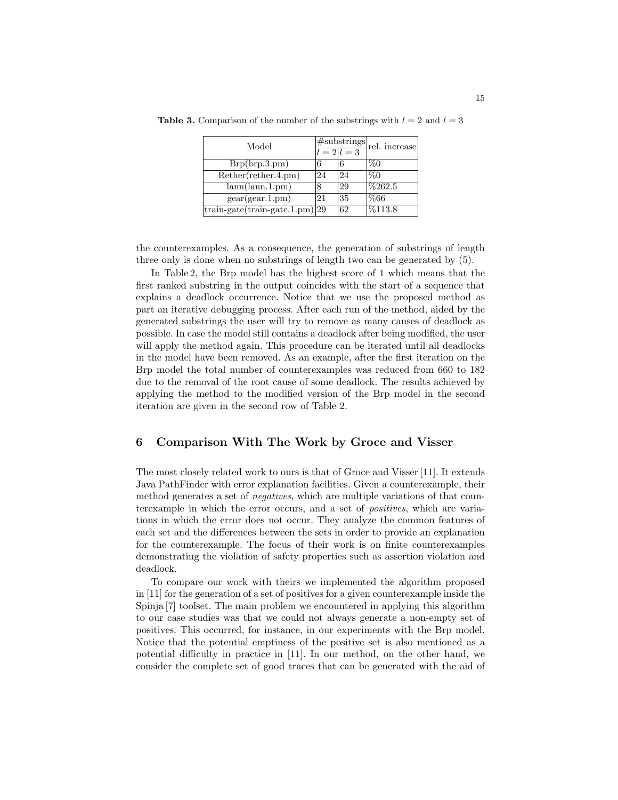| Model                                  |    | #substrings <br>$l = 2l = 3$ | rel. increase |
|----------------------------------------|----|------------------------------|---------------|
| Brp(brp.3.pm)                          | 6  | 6                            | %0            |
| Rether(rether.4.pm)                    | 24 | 24                           | $\%0$         |
| lann(lann.1.pm)                        |    | 29                           | $\%262.5$     |
| $\text{gear}(\text{gear}.1.\text{pm})$ | 21 | 35                           | $\%66$        |
| $train-gate(train-gate.1.pm)$  29      |    | 62                           | %113.8        |

**Table 3.** Comparison of the number of the substrings with  $l = 2$  and  $l = 3$ 

the counterexamples. As a consequence, the generation of substrings of length three only is done when no substrings of length two can be generated by (5).

In Table 2, the Brp model has the highest score of 1 which means that the first ranked substring in the output coincides with the start of a sequence that explains a deadlock occurrence. Notice that we use the proposed method as part an iterative debugging process. After each run of the method, aided by the generated substrings the user will try to remove as many causes of deadlock as possible. In case the model still contains a deadlock after being modified, the user will apply the method again. This procedure can be iterated until all deadlocks in the model have been removed. As an example, after the first iteration on the Brp model the total number of counterexamples was reduced from 660 to 182 due to the removal of the root cause of some deadlock. The results achieved by applying the method to the modified version of the Brp model in the second iteration are given in the second row of Table 2.

#### 6 Comparison With The Work by Groce and Visser

The most closely related work to ours is that of Groce and Visser [11]. It extends Java PathFinder with error explanation facilities. Given a counterexample, their method generates a set of *negatives*, which are multiple variations of that counterexample in which the error occurs, and a set of positives, which are variations in which the error does not occur. They analyze the common features of each set and the differences between the sets in order to provide an explanation for the counterexample. The focus of their work is on finite counterexamples demonstrating the violation of safety properties such as assertion violation and deadlock.

To compare our work with theirs we implemented the algorithm proposed in [11] for the generation of a set of positives for a given counterexample inside the Spinja [7] toolset. The main problem we encountered in applying this algorithm to our case studies was that we could not always generate a non-empty set of positives. This occurred, for instance, in our experiments with the Brp model. Notice that the potential emptiness of the positive set is also mentioned as a potential difficulty in practice in [11]. In our method, on the other hand, we consider the complete set of good traces that can be generated with the aid of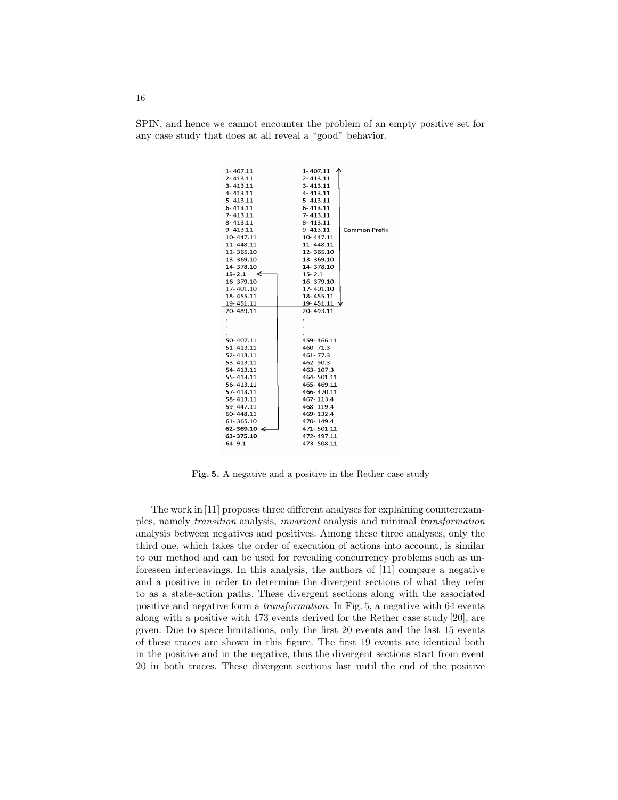SPIN, and hence we cannot encounter the problem of an empty positive set for any case study that does at all reveal a "good" behavior.



Fig. 5. A negative and a positive in the Rether case study

The work in [11] proposes three different analyses for explaining counterexamples, namely transition analysis, invariant analysis and minimal transformation analysis between negatives and positives. Among these three analyses, only the third one, which takes the order of execution of actions into account, is similar to our method and can be used for revealing concurrency problems such as unforeseen interleavings. In this analysis, the authors of [11] compare a negative and a positive in order to determine the divergent sections of what they refer to as a state-action paths. These divergent sections along with the associated positive and negative form a transformation. In Fig. 5, a negative with 64 events along with a positive with 473 events derived for the Rether case study [20], are given. Due to space limitations, only the first 20 events and the last 15 events of these traces are shown in this figure. The first 19 events are identical both in the positive and in the negative, thus the divergent sections start from event 20 in both traces. These divergent sections last until the end of the positive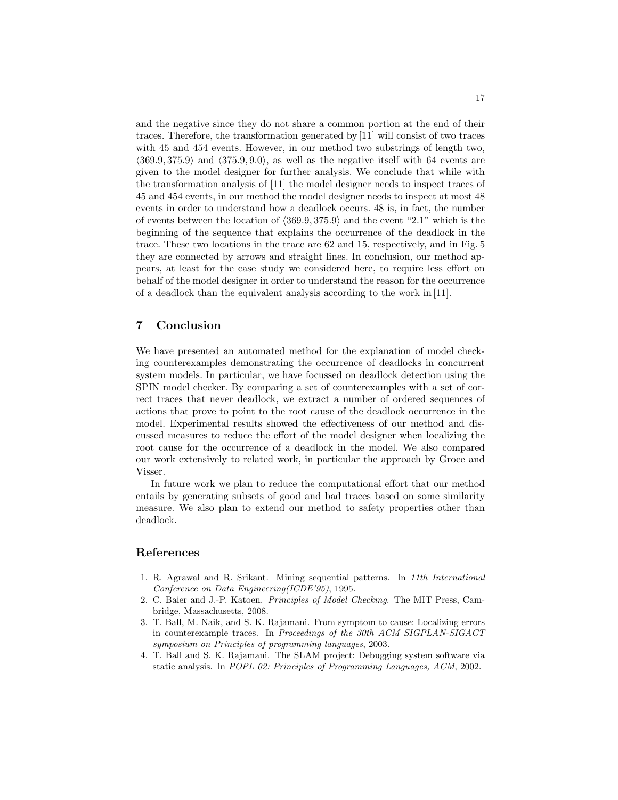and the negative since they do not share a common portion at the end of their traces. Therefore, the transformation generated by [11] will consist of two traces with 45 and 454 events. However, in our method two substrings of length two,  $\langle 369.9, 375.9 \rangle$  and  $\langle 375.9, 9.0 \rangle$ , as well as the negative itself with 64 events are given to the model designer for further analysis. We conclude that while with the transformation analysis of [11] the model designer needs to inspect traces of 45 and 454 events, in our method the model designer needs to inspect at most 48 events in order to understand how a deadlock occurs. 48 is, in fact, the number of events between the location of  $\langle 369.9, 375.9 \rangle$  and the event "2.1" which is the beginning of the sequence that explains the occurrence of the deadlock in the trace. These two locations in the trace are 62 and 15, respectively, and in Fig. 5 they are connected by arrows and straight lines. In conclusion, our method appears, at least for the case study we considered here, to require less effort on behalf of the model designer in order to understand the reason for the occurrence of a deadlock than the equivalent analysis according to the work in [11].

# 7 Conclusion

We have presented an automated method for the explanation of model checking counterexamples demonstrating the occurrence of deadlocks in concurrent system models. In particular, we have focussed on deadlock detection using the SPIN model checker. By comparing a set of counterexamples with a set of correct traces that never deadlock, we extract a number of ordered sequences of actions that prove to point to the root cause of the deadlock occurrence in the model. Experimental results showed the effectiveness of our method and discussed measures to reduce the effort of the model designer when localizing the root cause for the occurrence of a deadlock in the model. We also compared our work extensively to related work, in particular the approach by Groce and Visser.

In future work we plan to reduce the computational effort that our method entails by generating subsets of good and bad traces based on some similarity measure. We also plan to extend our method to safety properties other than deadlock.

## References

- 1. R. Agrawal and R. Srikant. Mining sequential patterns. In 11th International Conference on Data Engineering(ICDE'95), 1995.
- 2. C. Baier and J.-P. Katoen. Principles of Model Checking. The MIT Press, Cambridge, Massachusetts, 2008.
- 3. T. Ball, M. Naik, and S. K. Rajamani. From symptom to cause: Localizing errors in counterexample traces. In Proceedings of the 30th ACM SIGPLAN-SIGACT symposium on Principles of programming languages, 2003.
- 4. T. Ball and S. K. Rajamani. The SLAM project: Debugging system software via static analysis. In POPL 02: Principles of Programming Languages, ACM, 2002.